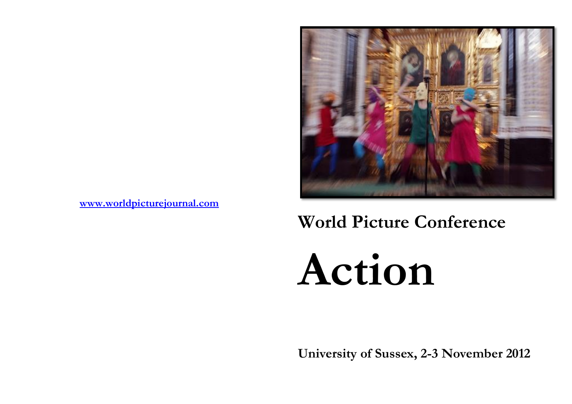

**[www.worldpicturejournal.com](http://www.worldpicturejournal.com/)**

# **World Picture Conference**

**Action**

**University of Sussex, 2-3 November 2012**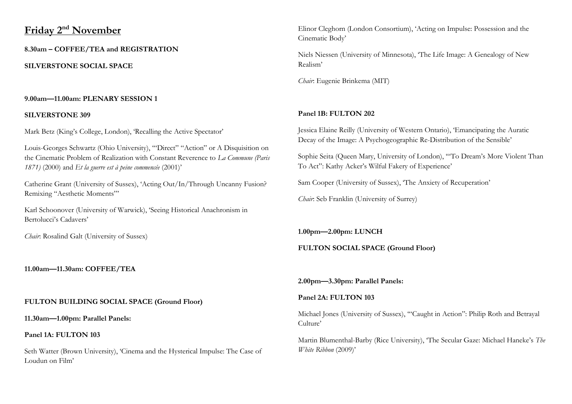# **Friday 2nd November**

**8.30am – COFFEE/TEA and REGISTRATION**

**SILVERSTONE SOCIAL SPACE** 

# **9.00am—11.00am: PLENARY SESSION 1**

## **SILVERSTONE 309**

Mark Betz (King's College, London), 'Recalling the Active Spectator'

Louis-Georges Schwartz (Ohio University), '"Direct" "Action" or A Disquisition on the Cinematic Problem of Realization with Constant Reverence to *La Commune (Paris 1871)* (2000) and *Et la guerre est à peine commencée* (2001)'

Catherine Grant (University of Sussex), 'Acting Out/In/Through Uncanny Fusion? Remixing "Aesthetic Moments"'

Karl Schoonover (University of Warwick), 'Seeing Historical Anachronism in Bertolucci's Cadavers'

*Chair*: Rosalind Galt (University of Sussex)

# **11.00am—11.30am: COFFEE/TEA**

# **FULTON BUILDING SOCIAL SPACE (Ground Floor)**

**11.30am—1.00pm: Parallel Panels:**

## **Panel 1A: FULTON 103**

Seth Watter (Brown University), 'Cinema and the Hysterical Impulse: The Case of Loudun on Film'

Elinor Cleghorn (London Consortium), 'Acting on Impulse: Possession and the Cinematic Body'

Niels Niessen (University of Minnesota), 'The Life Image: A Genealogy of New Realism'

*Chair*: Eugenie Brinkema (MIT)

# **Panel 1B: FULTON 202**

Jessica Elaine Reilly (University of Western Ontario), 'Emancipating the Auratic Decay of the Image: A Psychogeographic Re-Distribution of the Sensible'

Sophie Seita (Queen Mary, University of London), '"To Dream's More Violent Than To Act": Kathy Acker's Wilful Fakery of Experience'

Sam Cooper (University of Sussex), 'The Anxiety of Recuperation'

*Chair*: Seb Franklin (University of Surrey)

# **1.00pm—2.00pm: LUNCH**

# **FULTON SOCIAL SPACE (Ground Floor)**

**2.00pm—3.30pm: Parallel Panels:**

# **Panel 2A: FULTON 103**

Michael Jones (University of Sussex), '"Caught in Action": Philip Roth and Betrayal Culture'

Martin Blumenthal-Barby (Rice University), 'The Secular Gaze: Michael Haneke's *The White Ribbon* (2009)'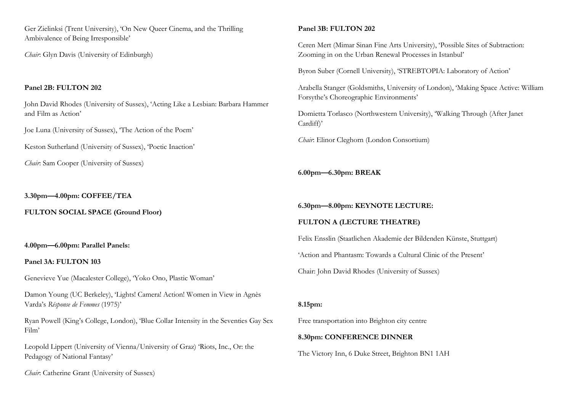Ger Zielinksi (Trent University), 'On New Queer Cinema, and the Thrilling Ambivalence of Being Irresponsible'

*Chair*: Glyn Davis (University of Edinburgh)

#### **Panel 2B: FULTON 202**

John David Rhodes (University of Sussex), 'Acting Like a Lesbian: Barbara Hammer and Film as Action'

Joe Luna (University of Sussex), 'The Action of the Poem'

Keston Sutherland (University of Sussex), 'Poetic Inaction'

*Chair*: Sam Cooper (University of Sussex)

#### **3.30pm—4.00pm: COFFEE/TEA**

**FULTON SOCIAL SPACE (Ground Floor)** 

#### **4.00pm—6.00pm: Parallel Panels:**

#### **Panel 3A: FULTON 103**

Genevieve Yue (Macalester College), 'Yoko Ono, Plastic Woman'

Damon Young (UC Berkeley), 'Lights! Camera! Action! Women in View in Agnès Varda's *Résponse de Femmes* (1975)'

Ryan Powell (King's College, London), 'Blue Collar Intensity in the Seventies Gay Sex Film'

Leopold Lippert (University of Vienna/University of Graz) 'Riots, Inc., Or: the Pedagogy of National Fantasy'

*Chair*: Catherine Grant (University of Sussex)

#### **Panel 3B: FULTON 202**

Ceren Mert (Mimar Sinan Fine Arts University), 'Possible Sites of Subtraction: Zooming in on the Urban Renewal Processes in Istanbul'

Byron Suber (Cornell University), 'STREBTOPIA: Laboratory of Action'

Arabella Stanger (Goldsmiths, University of London), 'Making Space Active: William Forsythe's Choreographic Environments'

Domietta Torlasco (Northwestern University), 'Walking Through (After Janet Cardiff)'

*Chair*: Elinor Cleghorn (London Consortium)

## **6.00pm—6.30pm: BREAK**

**6.30pm—8.00pm: KEYNOTE LECTURE:** 

## **FULTON A (LECTURE THEATRE)**

Felix Ensslin (Staatlichen Akademie der Bildenden Künste, Stuttgart) 'Action and Phantasm: Towards a Cultural Clinic of the Present' Chair: John David Rhodes (University of Sussex)

#### **8.15pm:**

Free transportation into Brighton city centre

#### **8.30pm: CONFERENCE DINNER**

The Victory Inn, 6 Duke Street, Brighton BN1 1AH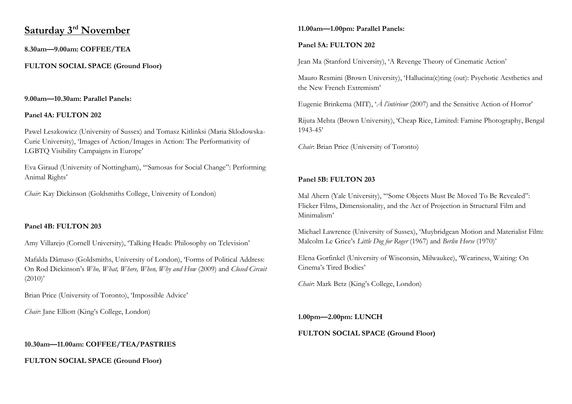# **Saturday 3rd November**

**8.30am—9.00am: COFFEE/TEA**

**FULTON SOCIAL SPACE (Ground Floor)**

# **9.00am—10.30am: Parallel Panels:**

# **Panel 4A: FULTON 202**

Pawel Leszkowicz (University of Sussex) and Tomasz Kitlinksi (Maria Sklodowska-Curie University), 'Images of Action/Images in Action: The Performativity of LGBTQ Visibility Campaigns in Europe'

Eva Giraud (University of Nottingham), '"Samosas for Social Change": Performing Animal Rights'

*Chair*: Kay Dickinson (Goldsmiths College, University of London)

# **Panel 4B: FULTON 203**

Amy Villarejo (Cornell University), 'Talking Heads: Philosophy on Television'

Mafalda Dâmaso (Goldsmiths, University of London), 'Forms of Political Address: On Rod Dickinson's *Who, What, Where, When, Why and How* (2009) and *Closed Circuit*  $(2010)$ <sup>'</sup>

Brian Price (University of Toronto), 'Impossible Advice'

*Chair*: Jane Elliott (King's College, London)

# **10.30am—11.00am: COFFEE/TEA/PASTRIES**

**FULTON SOCIAL SPACE (Ground Floor)** 

# **11.00am—1.00pm: Parallel Panels:**

# **Panel 5A: FULTON 202**

Jean Ma (Stanford University), 'A Revenge Theory of Cinematic Action'

Mauro Resmini (Brown University), 'Hallucina(c)ting (out): Psychotic Aesthetics and the New French Extremism'

Eugenie Brinkema (MIT), '*À l'intérieur* (2007) and the Sensitive Action of Horror'

Rijuta Mehta (Brown University), 'Cheap Rice, Limited: Famine Photography, Bengal 1943-45'

*Chair*: Brian Price (University of Toronto)

# **Panel 5B: FULTON 203**

Mal Ahern (Yale University), '"Some Objects Must Be Moved To Be Revealed": Flicker Films, Dimensionality, and the Act of Projection in Structural Film and Minimalism'

Michael Lawrence (University of Sussex), 'Muybridgean Motion and Materialist Film: Malcolm Le Grice's *Little Dog for Roger* (1967) and *Berlin Horse* (1970)'

Elena Gorfinkel (University of Wisconsin, Milwaukee), 'Weariness, Waiting: On Cinema's Tired Bodies'

*Chair*: Mark Betz (King's College, London)

**1.00pm—2.00pm: LUNCH**

# **FULTON SOCIAL SPACE (Ground Floor)**